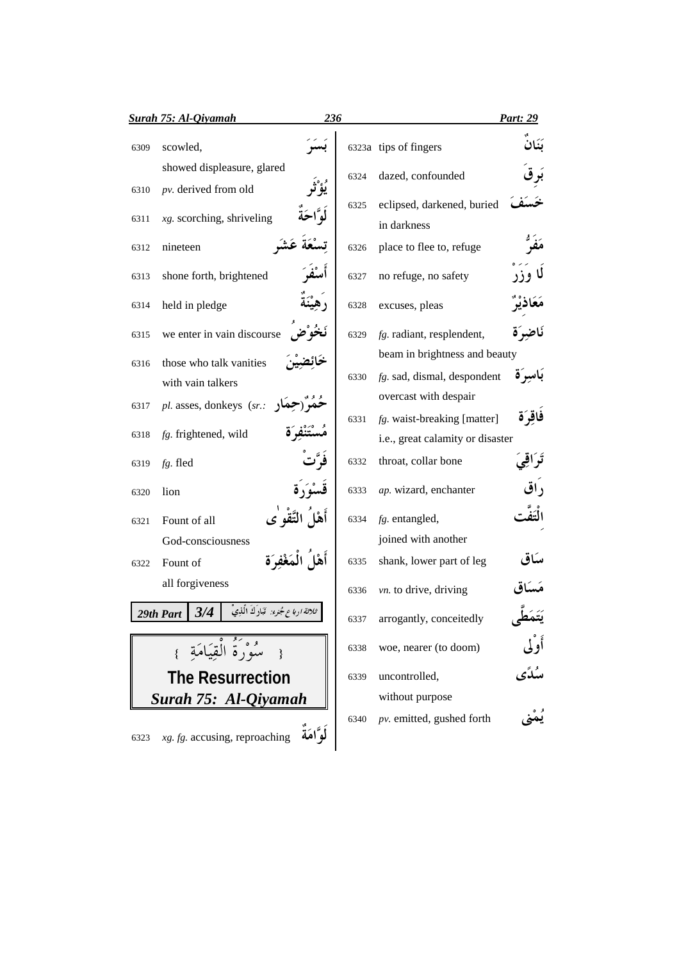|      | <b>Surah 75: Al-Qiyamah</b>                               | 236            |      |                                  | <b>Part: 29</b> |
|------|-----------------------------------------------------------|----------------|------|----------------------------------|-----------------|
| 6309 | scowled,                                                  |                |      | 6323a tips of fingers            |                 |
|      | showed displeasure, glared                                |                | 6324 | dazed, confounded                |                 |
| 6310 | pv. derived from old                                      |                |      |                                  |                 |
| 6311 | $xg$ . scorching, shriveling                              |                | 6325 | eclipsed, darkened, buried       |                 |
|      |                                                           |                |      | in darkness                      |                 |
| 6312 | nineteen                                                  |                | 6326 | place to flee to, refuge         |                 |
| 6313 | shone forth, brightened                                   |                | 6327 | no refuge, no safety             |                 |
| 6314 | held in pledge                                            |                | 6328 | excuses, pleas                   |                 |
| 6315 | we enter in vain discourse                                |                | 6329 | fg. radiant, resplendent,        | نَاضِرَة        |
| 6316 | those who talk vanities                                   |                |      | beam in brightness and beauty    |                 |
|      | with vain talkers                                         |                | 6330 | $fg.$ sad, dismal, despondent    | باسرة           |
| 6317 | $pl.$ asses, donkeys $(sr.$                               |                |      | overcast with despair            |                 |
|      |                                                           |                | 6331 | fg. waist-breaking [matter]      | فاقرَة          |
| 6318 | fg. frightened, wild                                      |                |      | i.e., great calamity or disaster |                 |
| 6319 | fg. fled                                                  |                | 6332 | throat, collar bone              | ثراقى           |
| 6320 | lion                                                      |                | 6333 | ap. wizard, enchanter            |                 |
| 6321 | Fount of all                                              |                | 6334 | fg. entangled,                   |                 |
|      | God-consciousness                                         |                |      | joined with another              |                 |
| 6322 | Fount of                                                  | أها المَغْفَوَ | 6335 | shank, lower part of leg         | ساد،            |
|      | all forgiveness                                           |                | 6336 | vn. to drive, driving            |                 |
|      | ثلاثة ارباع جُنوء: قَبَادِكَ الَّذِيْ<br>3/4<br>29th Part |                | 6337 | arrogantly, conceitedly          |                 |
|      | { سُوْرَةُ الْقِيَامَةِ }                                 |                | 6338 | woe, nearer (to doom)            | أوْلَى          |
|      | <b>The Resurrection</b>                                   |                | 6339 | uncontrolled,                    | سُلَّى          |
|      | Surah 75: Al-Qiyamah                                      |                |      | without purpose                  |                 |
|      |                                                           |                | 6340 | pv. emitted, gushed forth        |                 |
| 6323 | $xg. fg.$ accusing, reproaching                           | لْوَّامَةَ     |      |                                  |                 |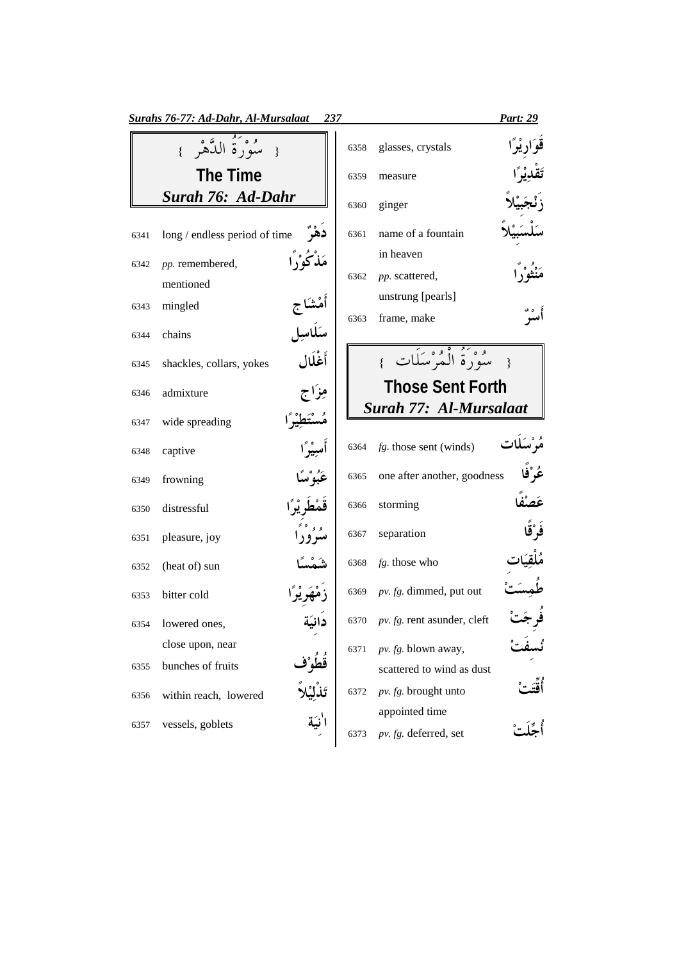|      | Surahs 76-77: Ad-Dahr, Al-Mursalaat  | 237 |      |                                         | <u>Part: 29</u> |
|------|--------------------------------------|-----|------|-----------------------------------------|-----------------|
|      | { سُوَرَةُ الدَّهْرِ }               |     | 6358 | glasses, crystals                       |                 |
|      | <b>The Time</b>                      |     | 6359 | measure                                 |                 |
|      | Surah 76: Ad-Dahr                    |     | 6360 | ginger                                  |                 |
| 6341 | long / endless period of time        |     | 6361 | name of a fountain                      |                 |
| 6342 | مَذْكُوْرًا<br>pp. remembered,       |     |      | in heaven                               |                 |
|      | mentioned                            |     | 6362 | pp. scattered,                          |                 |
| 6343 | mingled                              |     |      | unstrung [pearls]                       |                 |
|      | أَمْشَاج<br>سَلَاسِل                 |     | 6363 | frame, make                             |                 |
| 6344 | chains                               |     |      |                                         |                 |
| 6345 | أَغْلَال<br>shackles, collars, yokes |     |      | { مِيْهُوَمَ أَلْمُهُ مِيلَاتٍ }        |                 |
| 6346 | مِزَاج<br>admixture                  |     |      | <b>Those Sent Forth</b>                 |                 |
| 6347 | wide spreading                       |     |      | Surah 77: Al-Mursalaat                  |                 |
| 6348 | أسِيْرًا<br>captive                  |     | 6364 | $fg.$ those sent (winds)                | مُوْسَلات       |
| 6349 | عَبُوْسًا<br>frowning                |     | 6365 | one after another, goodness             | ڠُرْڤَا         |
| 6350 | distressful                          |     | 6366 | storming                                |                 |
| 6351 | وو°°<br>pleasure, joy                |     | 6367 | separation                              |                 |
| 6352 | (heat of) sun                        |     | 6368 | fg. those who                           |                 |
| 6353 | bitter cold                          |     | 6369 | $pv. fg.$ dimmed, put out               |                 |
|      | 6354 lowered ones,                   |     |      | 6370 pv. fg. rent asunder, cleft        |                 |
|      | close upon, near                     |     | 6371 | pv. fg. blown away,                     |                 |
| 6355 | bunches of fruits                    |     |      | scattered to wind as dust               |                 |
| 6356 | within reach, lowered                |     | 6372 | pv. fg. brought unto                    |                 |
| 6357 | vessels, goblets                     |     | 6373 | appointed time<br>pv. fg. deferred, set |                 |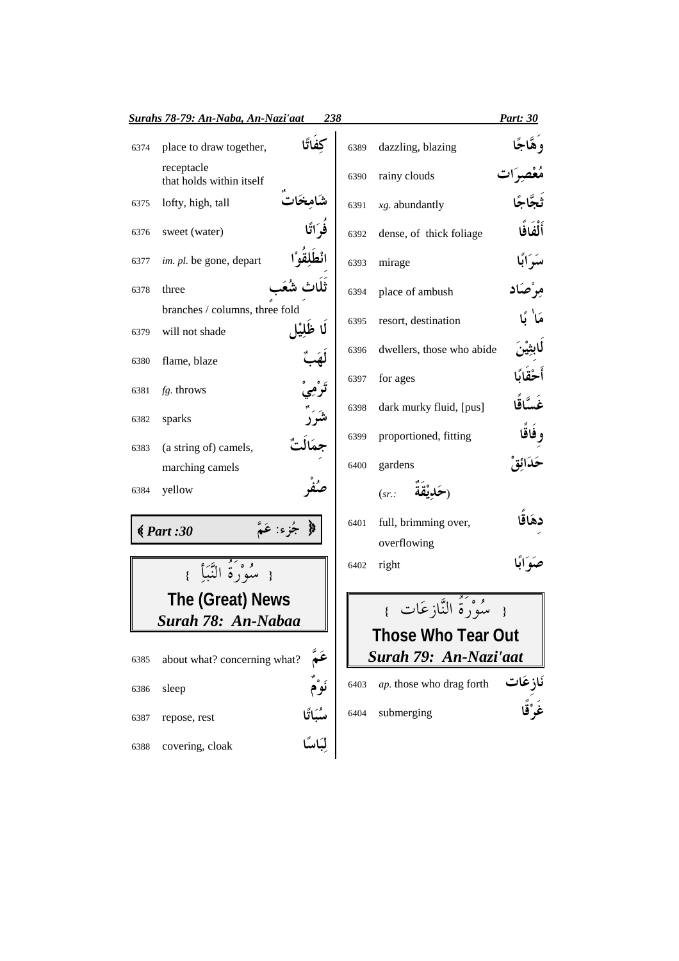|              | Surahs 78-79: An-Naba, An-Nazi'aat       | 238                  |      |                                     | Part: 30   |
|--------------|------------------------------------------|----------------------|------|-------------------------------------|------------|
| 6374         | place to draw together,                  |                      | 6389 | dazzling, blazing                   | وهٌاجًا    |
|              | receptacle<br>that holds within itself   |                      | 6390 | rainy clouds                        |            |
| 6375         | lofty, high, tall                        |                      | 6391 | $xg.$ abundantly                    |            |
| 6376         | sweet (water)                            |                      | 6392 | dense, of thick foliage             | أَلْفَافًا |
| 6377         | im. pl. be gone, depart                  |                      | 6393 | mirage                              | سَرَابًا   |
| 6378         | three                                    |                      | 6394 | place of ambush                     |            |
|              | branches / columns, three fold           | لًا ظَلَيْهِ         | 6395 | resort, destination                 |            |
| 6379<br>6380 | will not shade<br>flame, blaze           |                      | 6396 | dwellers, those who abide           | للبثير     |
|              |                                          |                      | 6397 | for ages                            | أحق        |
| 6381         | fg. throws                               |                      | 6398 | dark murky fluid, [pus]             | غَسَّاقًا  |
| 6382         | sparks                                   |                      | 6399 | proportioned, fitting               | وفاقًا     |
| 6383         | (a string of) camels,<br>marching camels |                      | 6400 | gardens                             |            |
| 6384         | yellow                                   |                      |      | (sr.                                |            |
|              | $\big( Part: 30$                         | جُزِء: عَمَّ         | 6401 | full, brimming over,<br>overflowing |            |
|              | مُوبَةُ النَّبَأَ                        |                      | 6402 | right                               |            |
|              | The (Great) News                         |                      |      | مُدْرَدُّ النَّازِعَات }            |            |
|              | Surah 78: An-Nabaa                       |                      |      |                                     |            |
|              |                                          |                      |      | <b>Those Who Tear Out</b>           |            |
| 6385         | about what? concerning what?             |                      |      | Surah 79: An-Nazi'aat               |            |
| 6386         | sleep                                    |                      | 6403 | ap. those who drag forth            | نَازِعَات  |
| 6387         | repose, rest                             | سُبَاتًا<br>لِبَاسًا | 6404 | submerging                          |            |
| 6388         | covering, cloak                          |                      |      |                                     |            |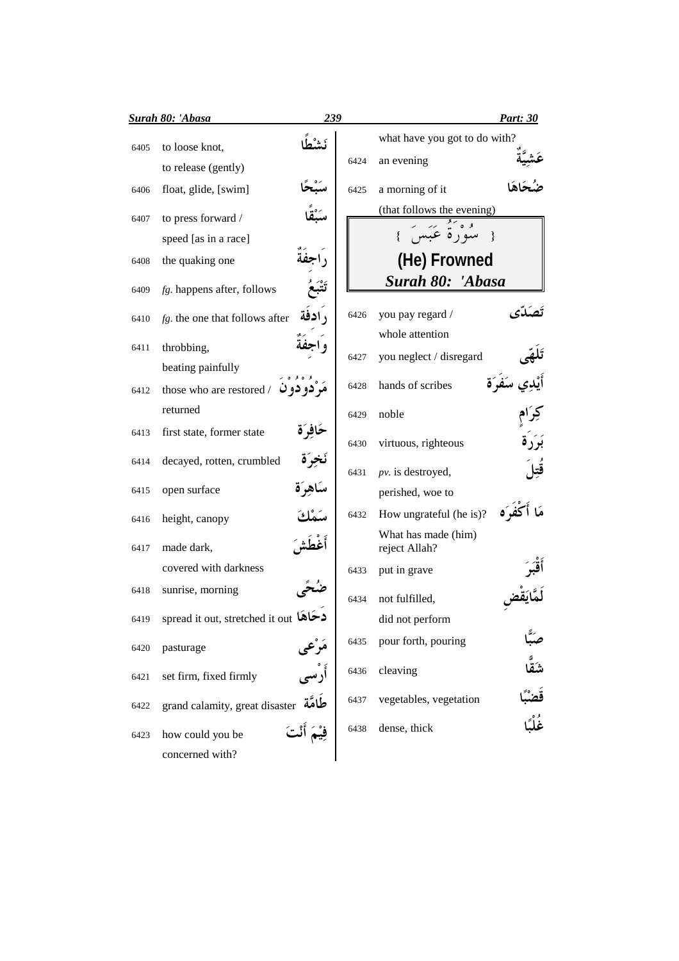|      | <b>Surah 80: 'Abasa</b>                     | 239           |      |                                             | <b>Part: 30</b>             |
|------|---------------------------------------------|---------------|------|---------------------------------------------|-----------------------------|
| 6405 | to loose knot,                              |               | 6424 | what have you got to do with?<br>an evening |                             |
| 6406 | to release (gently)<br>float, glide, [swim] |               | 6425 | a morning of it                             |                             |
| 6407 | to press forward /                          |               |      | (that follows the evening)                  |                             |
|      | speed [as in a race]                        |               |      | { سُوْرٌةٌ عَبَسَ                           |                             |
| 6408 | the quaking one                             |               |      | (He) Frowned                                |                             |
| 6409 | fg. happens after, follows                  |               |      | Surah 80: 'Abasa                            |                             |
| 6410 | fg. the one that follows after              | , ادفة        | 6426 | you pay regard /                            |                             |
| 6411 | throbbing,                                  |               | 6427 | whole attention<br>you neglect / disregard  |                             |
|      | beating painfully                           |               |      |                                             |                             |
| 6412 | those who are restored /                    | مر دو دو ں    | 6428 | hands of scribes                            |                             |
|      | returned                                    |               | 6429 | noble                                       |                             |
| 6413 | first state, former state                   | ځافوُة        | 6430 | virtuous, righteous                         |                             |
| 6414 | decayed, rotten, crumbled                   |               | 6431 | $pv.$ is destroyed,                         |                             |
| 6415 | open surface                                | ساهر ة        |      | perished, woe to                            |                             |
| 6416 | height, canopy                              |               | 6432 | How ungrateful (he is)?                     |                             |
| 6417 | made dark,                                  |               |      | What has made (him)<br>reject Allah?        |                             |
|      | covered with darkness                       |               | 6433 | put in grave                                |                             |
| 6418 | sunrise, morning                            |               | 6434 | not fulfilled,                              |                             |
| 6419 | spread it out, stretched it out <b>کاها</b> |               |      | did not perform                             |                             |
| 6420 | pasturage                                   | مرعی<br>من    | 6435 | pour forth, pouring                         |                             |
| 6421 | set firm, fixed firmly                      | أُرْسم        | 6436 | cleaving                                    |                             |
| 6422 | grand calamity, great disaster طَامَّة      |               | 6437 | vegetables, vegetation                      | صَبًّا<br>شَقَّا<br>عُلْبًا |
| 6423 | how could you be                            | فِيْمَ أَنْتَ | 6438 | dense, thick                                |                             |
|      | concerned with?                             |               |      |                                             |                             |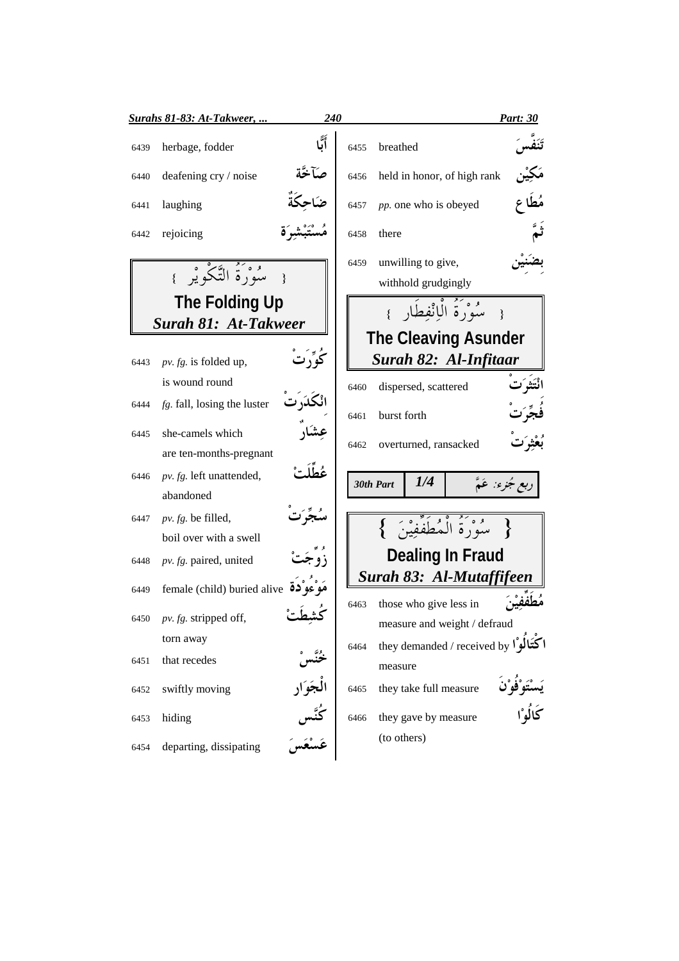|      | <u> Surahs 81-83: At-Takweer, </u> | <b>240</b>                     |      |                                                                                      | <b>Part: 30</b>  |
|------|------------------------------------|--------------------------------|------|--------------------------------------------------------------------------------------|------------------|
| 6439 | herbage, fodder                    |                                | 6455 | breathed                                                                             |                  |
| 6440 | deafening cry / noise              | صآخة                           | 6456 | held in honor, of high rank                                                          |                  |
| 6441 | laughing                           |                                | 6457 | pp. one who is obeyed                                                                |                  |
| 6442 | rejoicing                          |                                | 6458 | there                                                                                |                  |
|      | { سُوْرَةُ التَّكْوِيْرِ }         |                                | 6459 | unwilling to give,<br>withhold grudgingly                                            |                  |
|      | The Folding Up                     |                                |      | سُوْرَةُ الْبِانْفِطَارِ }                                                           |                  |
|      | <b>Surah 81: At-Takweer</b>        |                                |      |                                                                                      |                  |
|      |                                    |                                |      | <b>The Cleaving Asunder</b>                                                          |                  |
| 6443 | $pv. fg.$ is folded up,            |                                |      | Surah 82: Al-Infitaar                                                                |                  |
|      | is wound round                     |                                | 6460 | dispersed, scattered                                                                 |                  |
| 6444 | $fg.$ fall, losing the luster      |                                | 6461 | burst forth                                                                          |                  |
| 6445 | she-camels which                   |                                | 6462 | overturned, ransacked                                                                |                  |
|      | are ten-months-pregnant            |                                |      |                                                                                      |                  |
| 6446 | pv. fg. left unattended,           |                                |      | 1/4<br>30th Part                                                                     | دبع جُزِء: عَمَّ |
|      | abandoned                          |                                |      |                                                                                      |                  |
| 6447 | pv. fg. be filled,                 |                                |      | $\overline{\{\hspace{1em}\} }$ سُورَةُ الْمُطَفِّفِينَ $\overline{\{\hspace{1em}\}}$ |                  |
|      | boil over with a swell             |                                |      |                                                                                      |                  |
| 6448 | pv. fg. paired, united             |                                |      | Dealing In Fraud                                                                     |                  |
| 6449 | female (child) buried alive 32     |                                |      | Surah 83: Al-Mutaffifeen                                                             |                  |
| 6450 | pv. fg. stripped off,              |                                | 6463 | those who give less in<br>measure and weight / defraud                               |                  |
|      | torn away                          |                                | 6464 | they demanded / received by $\sum_{n=1}^{\infty}$                                    |                  |
| 6451 | that recedes                       |                                |      | measure                                                                              |                  |
| 6452 | swiftly moving                     |                                | 6465 | they take full measure                                                               |                  |
| 6453 | hiding                             | خُنَّسْ<br>الْجَوَار<br>كُنَّس | 6466 | they gave by measure                                                                 | ر ر<br>کالُوْا   |
| 6454 | departing, dissipating             |                                |      | (to others)                                                                          |                  |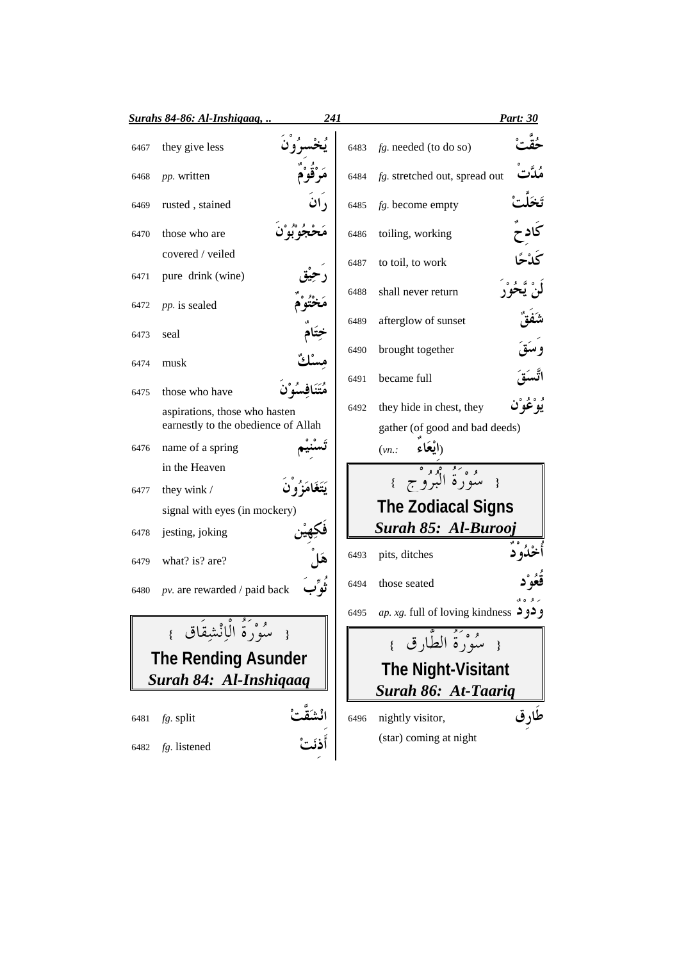|                            | Surahs 84-86: Al-Inshigaag,         | 241      |      |                                                            | <u>Part: 30</u>         |
|----------------------------|-------------------------------------|----------|------|------------------------------------------------------------|-------------------------|
| 6467                       | they give less                      |          | 6483 | $fg.$ needed (to do so)                                    |                         |
| 6468                       | pp. written                         |          | 6484 | fg. stretched out, spread out                              |                         |
| 6469                       | rusted, stained                     | ۱ ان     | 6485 | $fg.$ become empty                                         |                         |
| 6470                       | those who are                       |          | 6486 | toiling, working                                           |                         |
|                            | covered / veiled                    |          | 6487 | to toil, to work                                           |                         |
| 6471                       | pure drink (wine)                   |          | 6488 | shall never return                                         | ته د ه<br>پ <b>خو</b> ر |
| 6472                       | pp. is sealed                       |          | 6489 | afterglow of sunset                                        |                         |
| 6473                       | seal                                |          |      |                                                            |                         |
| 6474                       | musk                                |          | 6490 | brought together                                           |                         |
| 6475                       | those who have                      |          | 6491 | became full                                                |                         |
|                            | aspirations, those who hasten       |          | 6492 | they hide in chest, they                                   |                         |
|                            | earnestly to the obedience of Allah |          |      | gather (of good and bad deeds)                             |                         |
| 6476                       | name of a spring                    |          |      | $(vn)$ :                                                   |                         |
|                            | in the Heaven                       |          |      | { سُوْرَةُ الْبُرُوْجِ }                                   |                         |
| 6477                       | they wink /                         |          |      |                                                            |                         |
|                            | signal with eyes (in mockery)       |          |      | <b>The Zodiacal Signs</b>                                  |                         |
| 6478                       | jesting, joking                     |          |      | Surah 85: Al-Burooj                                        |                         |
| 6479                       | what? is? are?                      |          | 6493 | pits, ditches                                              | ل و د                   |
| 6480                       | pv. are rewarded / paid back        |          | 6494 | those seated                                               |                         |
|                            | ر و                                 |          | 6495 | <i>ap. xg.</i> full of loving kindness <b>4</b> $\epsilon$ |                         |
|                            | { سُوْرَةُ الْإِنْشِقَاق }          |          |      | { سُوْرَةُ الطَّارِقِ }                                    |                         |
| <b>The Rending Asunder</b> |                                     |          |      |                                                            |                         |
| Surah 84: Al-Inshigaag     |                                     |          |      | <b>The Night-Visitant</b>                                  |                         |
|                            |                                     |          |      | Surah 86: At-Taariq                                        |                         |
| 6481                       | $fg$ . split                        | انْشَقْد | 6496 | nightly visitor,                                           | طارق                    |
| 6482                       | fg. listened                        |          |      | (star) coming at night                                     |                         |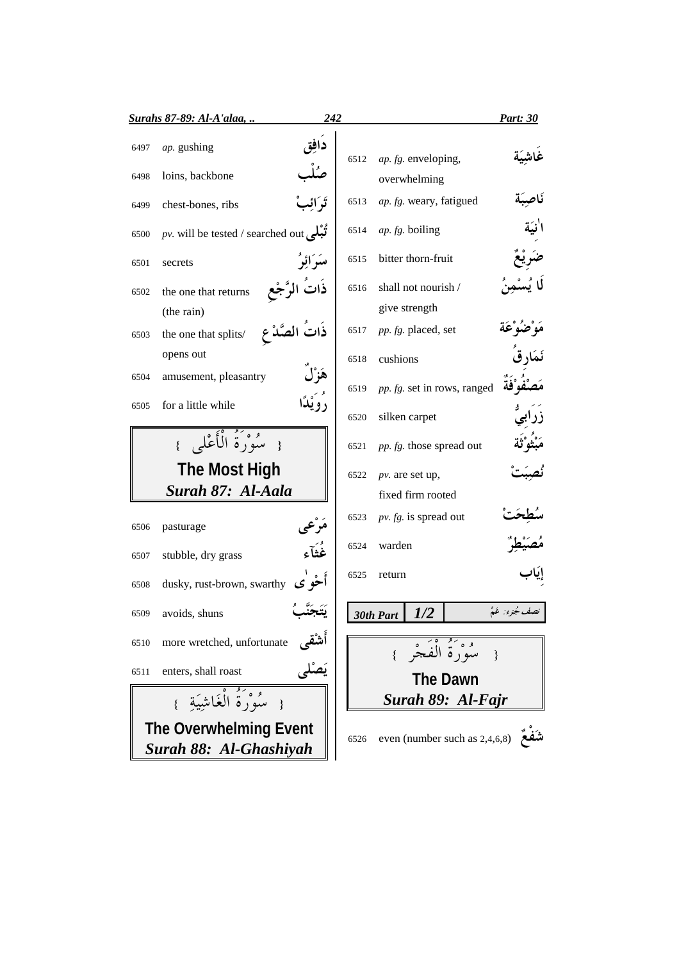|      | <b>Surahs 87-89: Al-A'alaa,</b>                 | 242           |      |                               | Part: 30          |
|------|-------------------------------------------------|---------------|------|-------------------------------|-------------------|
| 6497 | ap. gushing                                     |               | 6512 | ap. fg. enveloping,           |                   |
| 6498 | loins, backbone                                 |               |      | overwhelming                  |                   |
| 6499 | chest-bones, ribs                               |               | 6513 | ap. fg. weary, fatigued       |                   |
| 6500 | pv. will be tested / searched out $\mathcal{E}$ |               | 6514 | $ap. fg.$ boiling             |                   |
| 6501 | secrets                                         | مسَرَ أَئِرُ  | 6515 | bitter thorn-fruit            |                   |
| 6502 | the one that returns                            |               | 6516 | shall not nourish /           |                   |
|      | (the rain)                                      |               |      | give strength                 |                   |
| 6503 | the one that splits/                            | ذات الصَّدْ ع | 6517 | pp. fg. placed, set           |                   |
|      | opens out                                       |               | 6518 | cushions                      |                   |
| 6504 | amusement, pleasantry                           |               | 6519 | pp. fg. set in rows, ranged   |                   |
| 6505 | for a little while                              |               | 6520 | silken carpet                 |                   |
|      | { مِيْهُوَيَةُ الْأَعْلَى }                     |               | 6521 | pp. fg. those spread out      |                   |
|      | <b>The Most High</b>                            |               | 6522 | $pv$ . are set up,            |                   |
|      | Surah 87: Al-Aala                               |               |      | fixed firm rooted             |                   |
| 6506 | pasturage                                       |               | 6523 | $pv. fg.$ is spread out       |                   |
| 6507 | stubble, dry grass                              | غُثَأَء       | 6524 | warden                        |                   |
| 6508 | dusky, rust-brown, swarthy                      |               | 6525 | return                        |                   |
| 6509 | avoids, shuns                                   |               |      | 1/2<br>30th Part              | تصف جُزِءَ: عَهُّ |
| 6510 | more wretched, unfortunate                      |               |      | { سُوَرَةُ الْفَجْرِ }        |                   |
| 6511 | enters, shall roast                             |               |      | <b>The Dawn</b>               |                   |
|      | { مَدُورَةُ الْغَاشِيَةِ }                      |               |      | Surah 89: Al-Fajr             |                   |
|      | <b>The Overwhelming Event</b>                   |               |      |                               |                   |
|      | Surah 88: Al-Ghashiyah                          |               | 6526 | even (number such as 2,4,6,8) |                   |
|      |                                                 |               |      |                               |                   |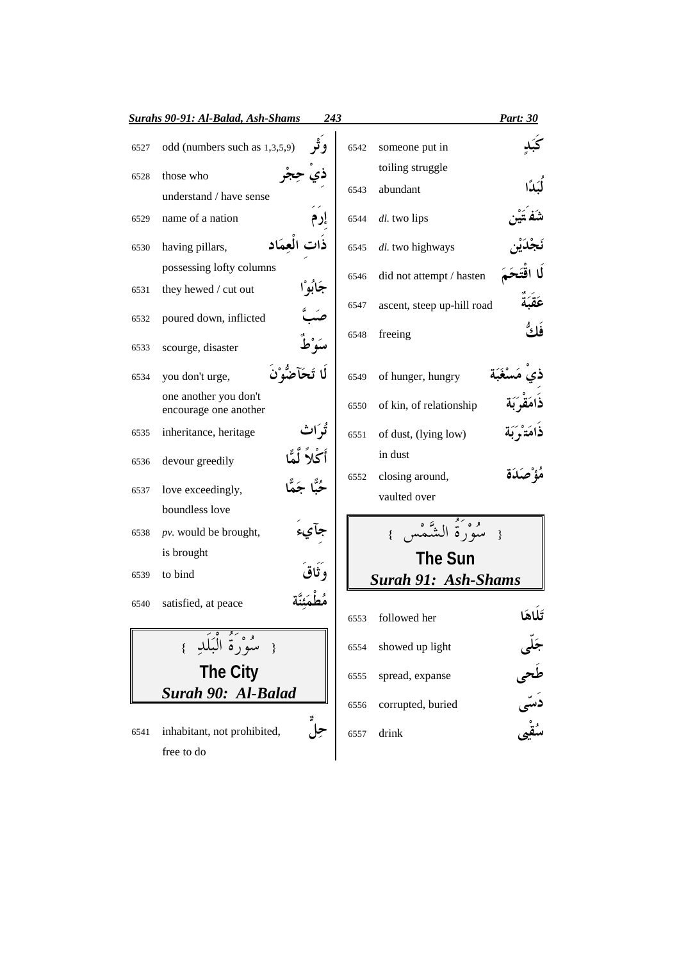|      | Surahs 90-91: Al-Balad, Ash-Shams<br>243       |      |                                 | <b>Part: 30</b>       |
|------|------------------------------------------------|------|---------------------------------|-----------------------|
| 6527 | odd (numbers such as 1,3,5,9)                  | 6542 | someone put in                  |                       |
| 6528 | those who                                      |      | toiling struggle                |                       |
|      | understand / have sense                        | 6543 | abundant                        |                       |
| 6529 | name of a nation                               | 6544 | dl. two lips                    |                       |
| 6530 | ، العمَاد<br>having pillars,                   | 6545 | dl. two highways                |                       |
|      | possessing lofty columns                       | 6546 | did not attempt / hasten        |                       |
| 6531 | جَابَهِ ا<br>they hewed / cut out              |      |                                 |                       |
| 6532 | poured down, inflicted                         | 6547 | ascent, steep up-hill road      |                       |
| 6533 | scourge, disaster                              | 6548 | freeing                         | فكُّ                  |
| 6534 | you don't urge,                                | 6549 | of hunger, hungry               |                       |
|      | one another you don't<br>encourage one another | 6550 | of kin, of relationship         |                       |
| 6535 | inheritance, heritage                          | 6551 | of dust, (lying low)            |                       |
| 6536 | أكلأ<br>devour greedily                        |      | in dust                         |                       |
| 6537 | love exceedingly,                              | 6552 | closing around,<br>vaulted over |                       |
|      | boundless love                                 |      |                                 |                       |
| 6538 | pv. would be brought,                          |      | مُعْ وَكَ الشَّمْ               |                       |
|      | is brought                                     |      | <b>The Sun</b>                  |                       |
| 6539 | to bind                                        |      | <b>Surah 91: Ash-Shams</b>      |                       |
| 6540 | satisfied, at peace                            |      |                                 |                       |
|      |                                                | 6553 | followed her                    |                       |
|      | { سُوْرَةُ الْبَلَدِ }                         | 6554 | showed up light                 |                       |
|      | <b>The City</b>                                | 6555 | spread, expanse                 |                       |
|      | Surah 90: Al-Balad                             | 6556 | corrupted, buried               | جَلی<br>طَحی<br>سُقْہ |
| 6541 | inhabitant, not prohibited,                    | 6557 | drink                           |                       |
|      | free to do                                     |      |                                 |                       |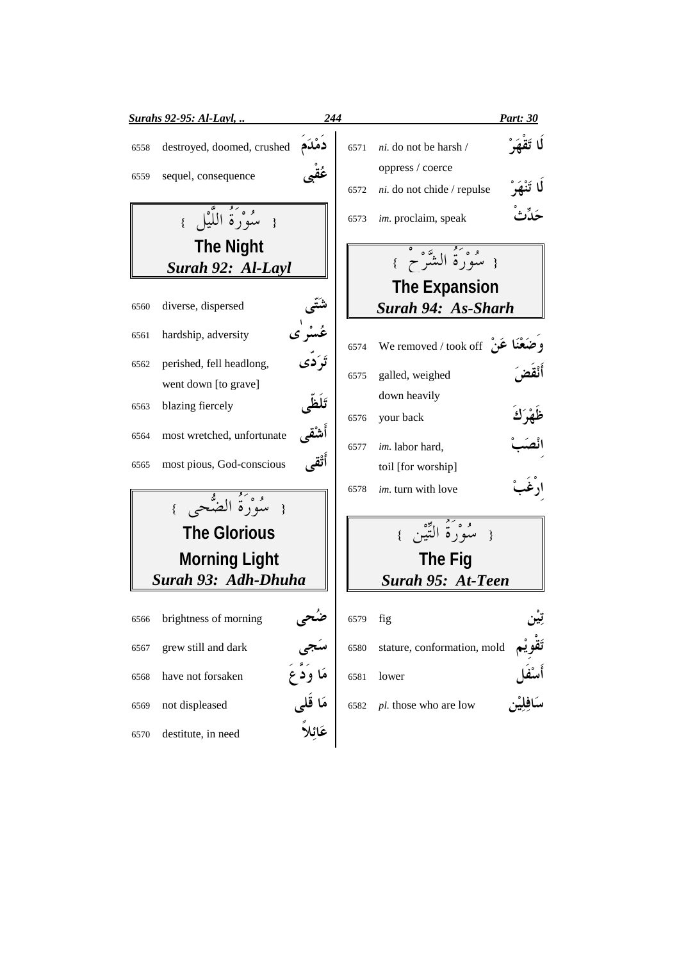| <b>Surahs 92-95: Al-Layl, </b>     | 244                                |      |                                                | <u>Part: 30</u>   |
|------------------------------------|------------------------------------|------|------------------------------------------------|-------------------|
| destroyed, doomed, crushed<br>6558 |                                    | 6571 | ni. do not be harsh /                          |                   |
| sequel, consequence<br>6559        |                                    | 6572 | oppress / coerce<br>ni. do not chide / repulse |                   |
| { سُوْرَةُ اللَّيْلِ }             |                                    | 6573 | im. proclaim, speak                            | حَلِّكْ           |
| <b>The Night</b>                   |                                    |      |                                                |                   |
| Surah 92: Al-Layl                  |                                    |      | { سُوْرَةُ الشَّرْحُ }                         |                   |
|                                    |                                    |      | <b>The Expansion</b>                           |                   |
| diverse, dispersed<br>6560         |                                    |      | Surah 94: As-Sharh                             |                   |
| hardship, adversity<br>6561        | ڠۺؗۯؙؠ<br>تَرَدَّى                 | 6574 | وضَعْنَا عَنْ We removed / took off            |                   |
| perished, fell headlong,<br>6562   |                                    | 6575 | galled, weighed                                | أَنْقض            |
| went down [to grave]               |                                    |      | down heavily                                   |                   |
| blazing fiercely<br>6563           | تَلَظَى                            | 6576 | your back                                      | ظَهْرَكَ          |
| most wretched, unfortunate<br>6564 | أشقى                               |      |                                                |                   |
| most pious, God-conscious<br>6565  | أَتْقَم                            | 6577 | im. labor hard,                                |                   |
|                                    |                                    |      | toil [for worship]                             | ارْغَه            |
| { سُوْرَةُ الضُّحِيِ }             |                                    | 6578 | im. turn with love                             |                   |
|                                    |                                    |      | { سَوْرَةُ التَّيْنِ }                         |                   |
| <b>The Glorious</b>                |                                    |      |                                                |                   |
| <b>Morning Light</b>               |                                    |      | <b>The Fig</b>                                 |                   |
| Surah 93: Adh-Dhuha                |                                    |      | Surah 95: At-Teen                              |                   |
| brightness of morning<br>6566      |                                    | 6579 | fig                                            |                   |
| grew still and dark<br>6567        |                                    | 6580 | stature, conformation, mold                    |                   |
| have not forsaken<br>6568          | مَا وَدَعَ                         | 6581 | lower                                          | أَسْفَل<br>مَافا° |
| not displeased<br>6569             | مَا قَل <sub>َ</sub> ى<br>عَائِلاً | 6582 | pl. those who are low                          |                   |
| destitute, in need<br>6570         |                                    |      |                                                |                   |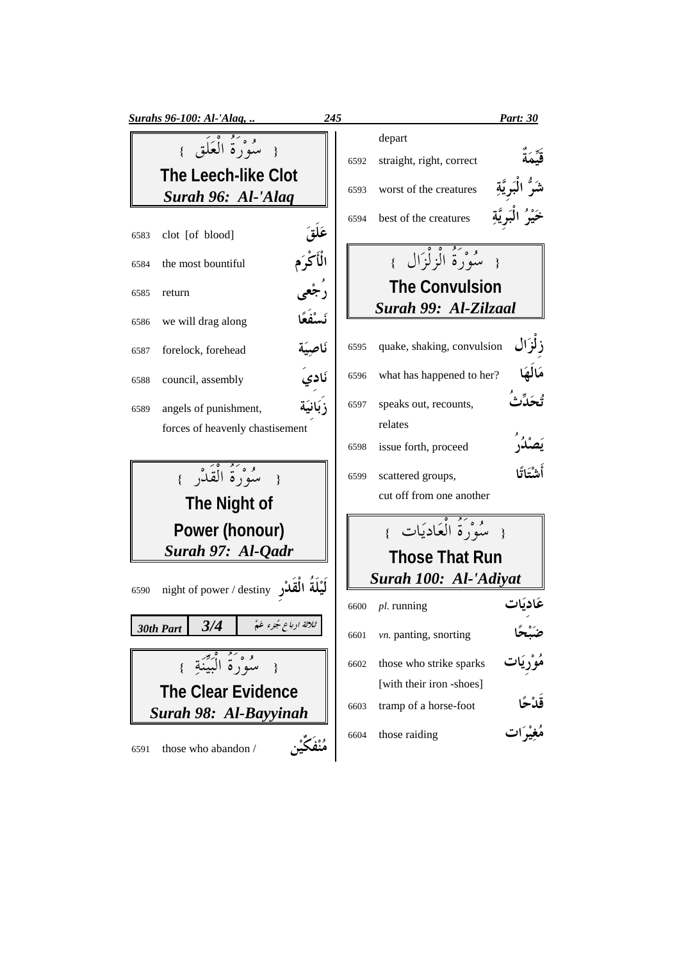|      | <b>Surahs 96-100: Al-'Alaq,</b>                  | 245                  |      |                                               | <b>Part: 30</b> |
|------|--------------------------------------------------|----------------------|------|-----------------------------------------------|-----------------|
|      | { سُوْرَةُ الْعَلَقِ }                           |                      | 6592 | depart<br>straight, right, correct            |                 |
|      | <b>The Leech-like Clot</b><br>Surah 96: Al-'Alaq |                      | 6593 | worst of the creatures                        |                 |
| 6583 | clot [of blood]                                  |                      | 6594 | best of the creatures                         |                 |
| 6584 | the most bountiful                               | عَلَقَ<br>الْأَكْرَم |      | { سُوْرَةُ الْزِلْزَالَ }                     |                 |
| 6585 | return                                           | رُجْع                |      | <b>The Convulsion</b><br>Surah 99: Al-Zilzaal |                 |
| 6586 | we will drag along                               | نَسْفُعً             |      |                                               |                 |
| 6587 | forelock, forehead                               | نَاصِيَة             | 6595 | quake, shaking, convulsion                    | : لزَال         |
| 6588 | council, assembly                                | ۔<br>نَاديَ          | 6596 | what has happened to her?                     | مَالَهَ         |
| 6589 | angels of punishment,                            | زَبَانِيَة           | 6597 | speaks out, recounts,                         |                 |
|      | forces of heavenly chastisement                  |                      |      | relates                                       |                 |
|      |                                                  |                      | 6598 | issue forth, proceed                          |                 |
|      | { سُوْرَةُ الْقَلْزِ }                           |                      | 6599 | scattered groups,                             | أَشْتَاتًا      |
|      | The Night of                                     |                      |      | cut off from one another                      |                 |
|      | Power (honour)                                   |                      |      | { سُوْرَةُ الْعَادِيَاتِ }                    |                 |
|      | Surah 97: Al-Qadr                                |                      |      | <b>Those That Run</b>                         |                 |
|      |                                                  |                      |      | Surah 100: Al-'Adiyat                         |                 |
| 6590 | night of power / destiny اَلْيُلَةَ الْقُدْر     |                      | 6600 | $pl.$ running                                 |                 |
|      | ثلاثة ا دبا ع جُنوء عَمُّ<br>3/4<br>30th Part    |                      | 6601 | vn. panting, snorting                         |                 |
|      | مَعْنُ وَمُ الْبَيِّنَةِ }                       |                      | 6602 | those who strike sparks                       |                 |
|      | <b>The Clear Evidence</b>                        |                      |      | [with their iron -shoes]                      |                 |
|      | Surah 98: Al-Bayyinah                            |                      | 6603 | tramp of a horse-foot                         | قَدْحًا         |
| 6591 | those who abandon /                              |                      | 6604 | those raiding                                 |                 |
|      |                                                  |                      |      |                                               |                 |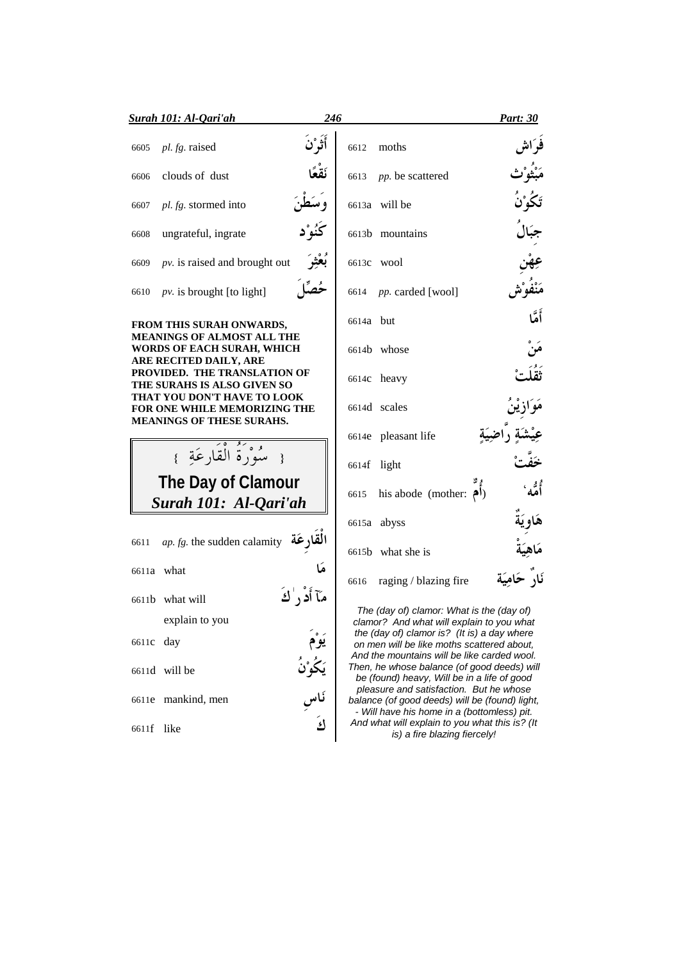| Surah 101: Al-Qari'ah            |                                                             | 246               |             |                                                                                                                                          | <b>Part: 30</b> |
|----------------------------------|-------------------------------------------------------------|-------------------|-------------|------------------------------------------------------------------------------------------------------------------------------------------|-----------------|
| pl. fg. raised<br>6605           |                                                             | أَثَوْنَ          |             | 6612 moths                                                                                                                               |                 |
| clouds of dust<br>6606           |                                                             |                   |             | 6613 <i>pp</i> . be scattered                                                                                                            |                 |
| pl. fg. stormed into<br>6607     |                                                             | و سُطنَ           |             | 6613a will be                                                                                                                            |                 |
| ungrateful, ingrate<br>6608      |                                                             | كُنُوْ د          |             | 6613b mountains                                                                                                                          |                 |
| 6609                             | $pv$ . is raised and brought out                            | بُعْثِرَ          |             | 6613c wool                                                                                                                               |                 |
| 6610                             | $pv$ . is brought [to light]                                |                   |             | 6614 pp. carded [wool]                                                                                                                   |                 |
| FROM THIS SURAH ONWARDS,         | <b>MEANINGS OF ALMOST ALL THE</b>                           |                   | 6614a but   |                                                                                                                                          | أَمَّا          |
| ARE RECITED DAILY, ARE           | WORDS OF EACH SURAH, WHICH                                  |                   |             | 6614b whose                                                                                                                              |                 |
|                                  | PROVIDED. THE TRANSLATION OF<br>THE SURAHS IS ALSO GIVEN SO |                   |             | 6614c heavy                                                                                                                              |                 |
| <b>MEANINGS OF THESE SURAHS.</b> | THAT YOU DON'T HAVE TO LOOK<br>FOR ONE WHILE MEMORIZING THE |                   |             | 6614d scales                                                                                                                             |                 |
|                                  |                                                             |                   |             | 6614e pleasant life                                                                                                                      |                 |
|                                  | { سُوْرَةُ الْقَارِعَةِ }                                   |                   | 6614f light |                                                                                                                                          |                 |
|                                  | The Day of Clamour<br>Surah 101: Al-Qari'ah                 |                   |             | 6615 his abode (mother: $\left  \right\rangle$ )                                                                                         |                 |
|                                  |                                                             |                   |             | 6615a abyss                                                                                                                              |                 |
|                                  | 6611 ap. fg. the sudden calamity القارعَة                   |                   |             | 6615b what she is                                                                                                                        |                 |
| 6611a what                       |                                                             | هَا               |             | 6616 raging / blazing fire                                                                                                               |                 |
| 6611b what will                  |                                                             | مَآ أَدُ ٫ ٰكَ    |             | The (day of) clamor: What is the (day of)                                                                                                |                 |
| explain to you                   |                                                             |                   |             | clamor? And what will explain to you what<br>the (day of) clamor is? (It is) a day where                                                 |                 |
| 6611c day                        |                                                             |                   |             | on men will be like moths scattered about,<br>And the mountains will be like carded wool.<br>Then, he whose balance (of good deeds) will |                 |
| 6611d will be                    |                                                             | يَكُوْنُ<br>نَاسِ |             | be (found) heavy, Will be in a life of good<br>pleasure and satisfaction. But he whose                                                   |                 |
| 6611e mankind, men               |                                                             |                   |             | balance (of good deeds) will be (found) light,<br>- Will have his home in a (bottomless) pit.                                            |                 |
| 6611f like                       |                                                             | كَ                |             | And what will explain to you what this is? (It<br>is) a fire blazing fiercely!                                                           |                 |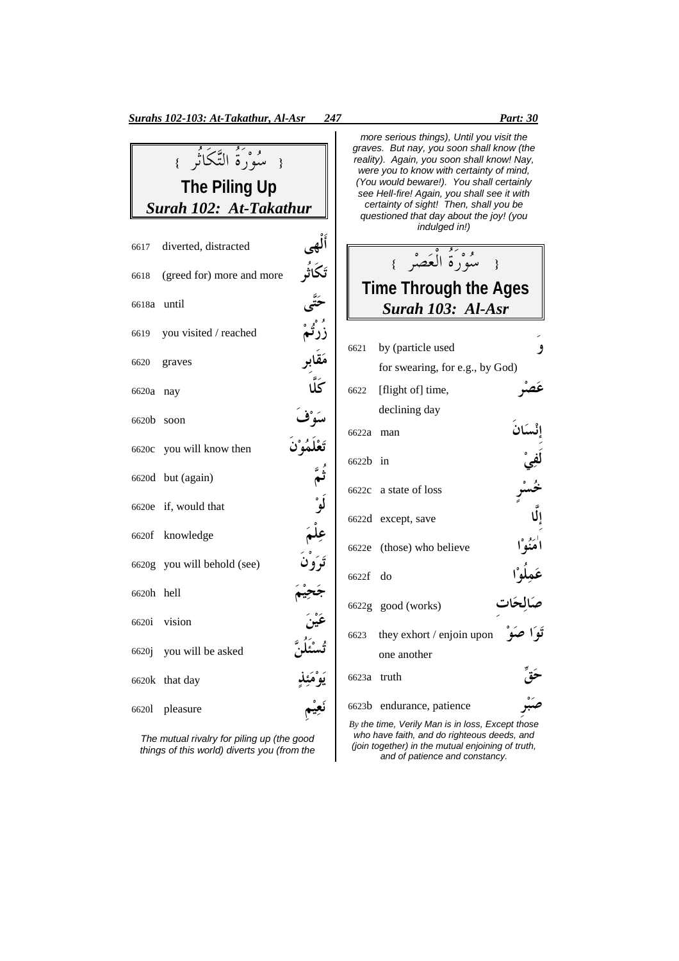|       |                             |                                | more<br>graves.                  |
|-------|-----------------------------|--------------------------------|----------------------------------|
|       | { سُوْرَةُ التَّكَاتُرِ }   |                                | reality).<br>were y              |
|       | <b>The Piling Up</b>        |                                | You w<br>see He<br>certa         |
|       | Surah 102: At-Takathur      |                                | quest                            |
|       | 6617 diverted, distracted   |                                |                                  |
| 6618  | (greed for) more and more   |                                | Tim                              |
| 6618a | until                       |                                |                                  |
| 6619  | you visited / reached       |                                |                                  |
| 6620  | graves                      |                                | 6621<br>$\mathbf{b}$<br>f        |
| 6620a | nay                         |                                | $[$ f<br>6622                    |
| 6620b | soon                        |                                | d                                |
|       | 6620c you will know then    |                                | 6622a<br>$\mathbf n$             |
|       | 6620d but (again)           |                                | 6622b<br>$\overline{\mathbf{u}}$ |
|       | 6620e if, would that        |                                | 6622c<br>a                       |
|       | 6620f knowledge             |                                | 6622d<br>e e                     |
|       | 6620g you will behold (see) |                                | $\sqrt{ }$<br>6622e              |
| 6620h | hell                        |                                | 6622f<br>d                       |
|       | 6620i vision                |                                | 6622g g                          |
|       | 6620j you will be asked     |                                | 6623<br>th                       |
| 6620k | that day                    | تسنئلن<br>يَوْمَئِذٍ<br>نَعيْم | $\mathbf{O}$<br>6623a<br>tı      |
| 66201 | pleasure                    |                                | 6623b<br>e                       |
|       |                             |                                |                                  |

The mutual rivalry for piling up (the good things of this world) diverts you (from the

serious things), Until you visit the But nay, you soon shall know (the Again, you soon shall know! Nay, vou to know with certainty of mind, vould beware!). You shall certainly see Hell-fire! Again, you shall see it with certainty of sight! Then, shall you be ioned that day about the joy! (you indulged in!) { سُوْرة العَصْر } **Reepse Through the Ages** *Surah 103: Al-Asr* <sup>6621</sup> by (particle used or swearing, for e.g., by God) flight of $\vert$  time, عصر eclining day 6622a man \$ 6622b in state of loss خس except, save those) who believe ا<br>**مذ**  $\mathsf{I}$ 6622f do -عَمِلُا good (works) صَالِحَات hey exhort / enjoin upon تَوَا صَـ ne another 6623a truth CI endurance, patience **صب** 

*By t*he time, Verily Man is in loss, Except those who have faith, and do righteous deeds, and (join together) in the mutual enjoining of truth, and of patience and constancy.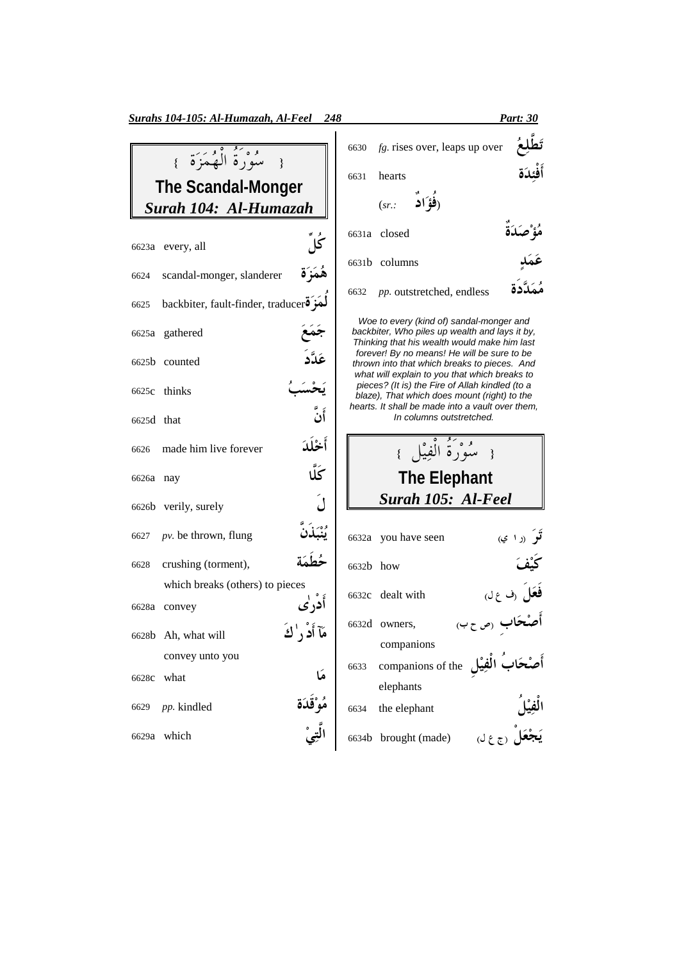| $\overline{\phantom{a}}$                |                                                                                                                                                                                                                                                                                                                                                |
|-----------------------------------------|------------------------------------------------------------------------------------------------------------------------------------------------------------------------------------------------------------------------------------------------------------------------------------------------------------------------------------------------|
|                                         |                                                                                                                                                                                                                                                                                                                                                |
| Surah 104: Al-Humazah                   |                                                                                                                                                                                                                                                                                                                                                |
|                                         |                                                                                                                                                                                                                                                                                                                                                |
|                                         |                                                                                                                                                                                                                                                                                                                                                |
| 6624 scandal-monger, slanderer          | ۿؘمَزَة                                                                                                                                                                                                                                                                                                                                        |
| 6625 backbiter, fault-finder, traducero |                                                                                                                                                                                                                                                                                                                                                |
|                                         |                                                                                                                                                                                                                                                                                                                                                |
|                                         | عَالَم                                                                                                                                                                                                                                                                                                                                         |
|                                         |                                                                                                                                                                                                                                                                                                                                                |
|                                         | أَنَّ                                                                                                                                                                                                                                                                                                                                          |
|                                         | أخْلَدَ                                                                                                                                                                                                                                                                                                                                        |
|                                         | ػؖڵ                                                                                                                                                                                                                                                                                                                                            |
|                                         |                                                                                                                                                                                                                                                                                                                                                |
|                                         |                                                                                                                                                                                                                                                                                                                                                |
|                                         |                                                                                                                                                                                                                                                                                                                                                |
| which breaks (others) to pieces         |                                                                                                                                                                                                                                                                                                                                                |
|                                         | أدر ٰي                                                                                                                                                                                                                                                                                                                                         |
|                                         | مَآ أَدْ ر' كَ                                                                                                                                                                                                                                                                                                                                 |
| convey unto you                         |                                                                                                                                                                                                                                                                                                                                                |
| what                                    |                                                                                                                                                                                                                                                                                                                                                |
|                                         | مَا<br>مُوْقَدَة<br>الَّت <i>ي</i> ْ                                                                                                                                                                                                                                                                                                           |
|                                         |                                                                                                                                                                                                                                                                                                                                                |
|                                         | مَعْ دَمَّةُ أَفْهَمَزَةً }<br>The Scandal-Monger<br>6623a every, all<br>6625a gathered<br>6625b counted<br>6625c thinks<br>6625d that<br>6626 made him live forever<br>6626a nay<br>6626b verily, surely<br>6627 <i>pv</i> . be thrown, flung<br>6628 crushing (torment),<br>6628a convey<br>6628b Ah, what will<br>6629 pp. kindled<br>which |

| Surahs 104-105: Al-Humazah, Al-Feel<br>248                                          | <b>Part: 30</b>                                                                                |
|-------------------------------------------------------------------------------------|------------------------------------------------------------------------------------------------|
| { سُوْدَ ثُمَّ أَلْهُمَزَةً }<br><b>The Scandal-Monger</b><br>Surah 104: Al-Humazah | تَطَل<br>$fg.$ rises over, leaps up over<br>6630<br>أفئدة<br>hearts<br>6631<br>(فؤ ًاد<br>(sr. |
| ݣلْ<br>6623a every, all                                                             | هُؤْ صِكَدَة<br>6631a closed                                                                   |
| هُمَزَة<br>scandal-monger, slanderer<br>6624                                        | 6631b columns                                                                                  |
| hackbiter fault-finder traducers<br>6625                                            | <i>pp.</i> outstretched, endless<br>6632                                                       |

Woe to every (kind of) sandal-monger and backbiter, Who piles up wealth and lays it by, Thinking that his wealth would make him last forever! By no means! He will be sure to be thrown into that which breaks to pieces. And what will explain to you that which breaks to pieces? (It is) the Fire of Allah kindled (to a blaze), That which does mount (right) to the hearts. It shall be made into a vault over them, In columns outstretched.

{ سُوْرة الفِيْل } **The Elephant** *Surah 105: Al-Feel*

|             | 6632a you have seen                  | <b>تر</b> (را ي)        |
|-------------|--------------------------------------|-------------------------|
| $6632h$ how |                                      |                         |
|             | 6632c dealt with                     | فَعَلَ (ف ع ل)          |
|             | 6632d owners,                        | أ <b>صْحَاب</b> (ص ح ب) |
|             | companions                           |                         |
| 6633        | companions of the أَصْحَابُ الْفِيْل |                         |
|             | elephants                            |                         |
| 6634        | the elephant                         | ن<br>في ا               |
|             | 6634b brought (made)                 | ر (ج ع لي               |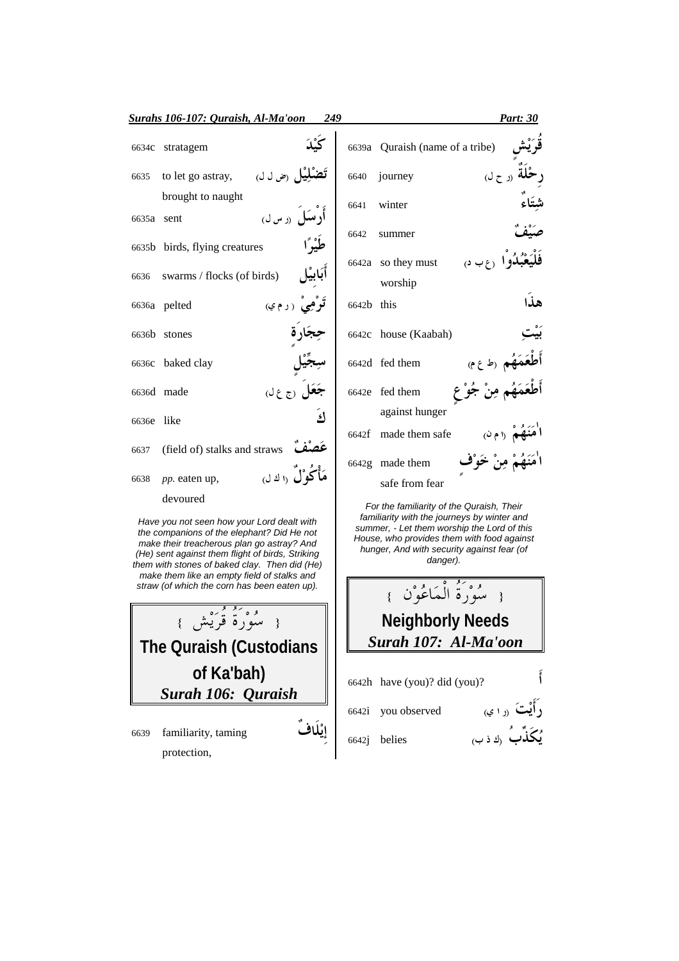|            | Surahs 106-107: Quraish, Al-Ma'oon<br>249                                                 |            | Part: 30                                                                                                                                |
|------------|-------------------------------------------------------------------------------------------|------------|-----------------------------------------------------------------------------------------------------------------------------------------|
| 6634c      | stratagem                                                                                 | 6639a      | Quraish (name of a tribe)                                                                                                               |
| 6635       | <b>تَضَلِيَل</b> <sub>(ض ل ل)</sub><br>to let go astray,                                  | 6640       | $($ ر ح ل<br>journey                                                                                                                    |
|            | brought to naught                                                                         | 6641       | winter                                                                                                                                  |
| 6635a sent | أرسكل <sub>(د س ل)</sub>                                                                  |            |                                                                                                                                         |
|            | 6635b birds, flying creatures                                                             | 6642       | summer                                                                                                                                  |
|            |                                                                                           |            | 6642a so they must<br>$\Omega \cup \mathcal{F}$                                                                                         |
| 6636       | كابيل<br>swarms / flocks (of birds)                                                       |            | worship                                                                                                                                 |
|            | 6636a pelted<br>ترمي (رم»                                                                 | 6642b this | هذا                                                                                                                                     |
|            | 6636b stones                                                                              |            | 6642c house (Kaabah)                                                                                                                    |
|            | 6636c baked clay                                                                          |            | 6642d fed them<br>(1, 3)                                                                                                                |
|            | <b>جعل</b> رج ع لي<br>6636d made                                                          |            | 6642e fed them                                                                                                                          |
| 6636e like | اءَ                                                                                       |            | against hunger                                                                                                                          |
|            |                                                                                           |            | 6642f made them safe<br>(196)                                                                                                           |
| 6637       | عصف<br>(field of) stalks and straws                                                       |            |                                                                                                                                         |
| 6638       | مَأْكُوْلَ (اك ل<br>pp. eaten up,                                                         |            | 6642g made them<br>safe from fear                                                                                                       |
|            | devoured                                                                                  |            |                                                                                                                                         |
|            | Have you not seen how your Lord dealt with<br>the companience of the elephant? Did He not |            | For the familiarity of the Quraish, Their<br>familiarity with the journeys by winter and<br>summer, - Let them worship the Lord of this |

House, who provides them with food against hunger, And with security against fear (of danger).

{ سُوْرة المَاعُوْن } **Neighborly Needs** *Surah 107: Al-Ma'oon*

6642h have (you)? did (you)?

6642i you observed  $\overrightarrow{C}$ راًيْتَ  $(0, 1)$ 

 $\overrightarrow{b}$ ون ن جاء ن جنگدان و  $\overrightarrow{c}$   $\overrightarrow{c}$   $\overrightarrow{c}$   $\overrightarrow{c}$   $\overrightarrow{c}$   $\overrightarrow{c}$   $\overrightarrow{c}$   $\overrightarrow{c}$   $\overrightarrow{c}$   $\overrightarrow{c}$   $\overrightarrow{c}$   $\overrightarrow{c}$   $\overrightarrow{c}$   $\overrightarrow{c}$   $\overrightarrow{c}$   $\overrightarrow{c}$   $\overrightarrow{c}$   $\overrightarrow{c}$   $\overrightarrow{c}$   $\overrightarrow{c}$   $\overrightarrow{c}$   $\over$ 

the companions of the elephant? Did He not make their treacherous plan go astray? And (He) sent against them flight of birds, Striking them with stones of baked clay. Then did (He) make them like an empty field of stalks and straw (of which the corn has been eaten up).

{ سُوْرة قرَيْش } **The Quraish (Custodians of Ka'bah)** *Surah 106: Quraish* 6639 familiarity, taming إِيْلَافٌ

protection,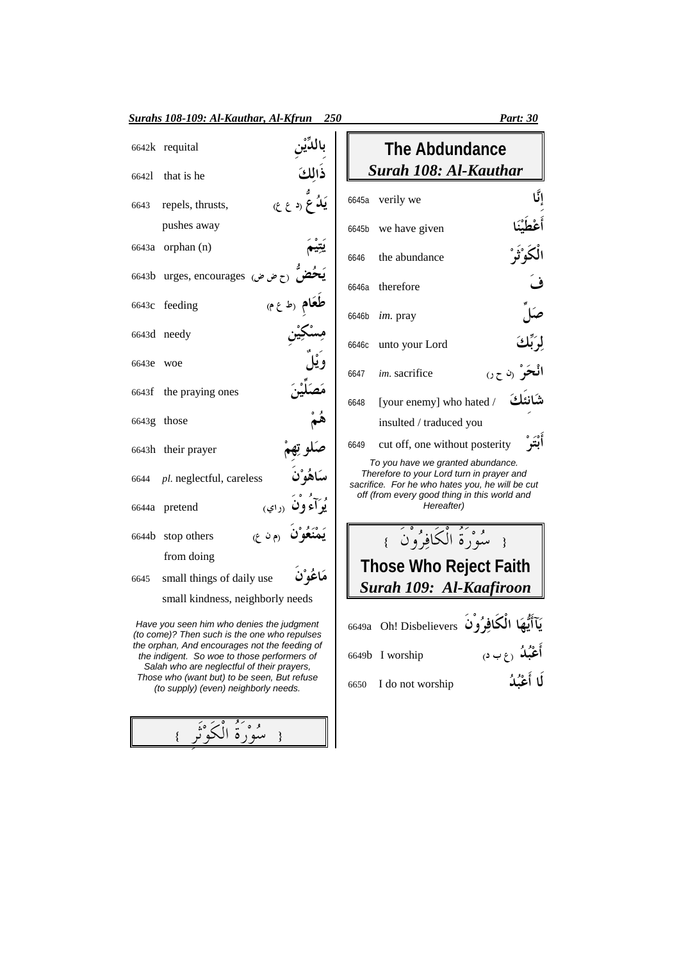|           | Surahs 108-109: Al-Kauthar, Al-Kfrun 250                                                                                          |                              |       |                                                                                                                                   | <b>Part: 30</b>                                                   |
|-----------|-----------------------------------------------------------------------------------------------------------------------------------|------------------------------|-------|-----------------------------------------------------------------------------------------------------------------------------------|-------------------------------------------------------------------|
|           | 6642k requital                                                                                                                    |                              |       | <b>The Abdundance</b>                                                                                                             |                                                                   |
| 66421     | that is he                                                                                                                        | ذالكَ                        |       | <b>Surah 108: Al-Kauthar</b>                                                                                                      |                                                                   |
| 6643      | repels, thrusts,                                                                                                                  | <b>يَلاُ ع</b> (د ع ع)       |       | 6645a verily we                                                                                                                   |                                                                   |
|           | pushes away                                                                                                                       |                              | 6645b | we have given                                                                                                                     |                                                                   |
|           | 6643a orphan (n)                                                                                                                  |                              | 6646  | the abundance                                                                                                                     |                                                                   |
|           | 6643b urges, encourages (ح ض ض)                                                                                                   |                              |       | 6646a therefore                                                                                                                   |                                                                   |
|           | 6643c feeding                                                                                                                     | <b>طغام</b> رط ع م)          | 6646b | im. pray                                                                                                                          |                                                                   |
|           | 6643d needy                                                                                                                       |                              | 6646c | unto your Lord                                                                                                                    |                                                                   |
| 6643e woe |                                                                                                                                   |                              | 6647  | im. sacrifice                                                                                                                     | الْحَرَ (ن ح ر)                                                   |
|           | 6643f the praying ones                                                                                                            |                              | 6648  | [your enemy] who hated /                                                                                                          | شانئك                                                             |
|           | 6643g those                                                                                                                       |                              |       | insulted / traduced you                                                                                                           |                                                                   |
|           | 6643h their prayer                                                                                                                |                              | 6649  | cut off, one without posterity                                                                                                    | أبْتَرْ                                                           |
| 6644      | pl. neglectful, careless                                                                                                          |                              |       | To you have we granted abundance.<br>Therefore to your Lord turn in prayer and<br>sacrifice. For he who hates you, he will be cut |                                                                   |
|           | 6644a pretend                                                                                                                     | يُوَ آءِ ون <sub>(داي)</sub> |       | off (from every good thing in this world and<br>Hereafter)                                                                        |                                                                   |
|           | (م ن ع)<br>6644b stop others                                                                                                      |                              |       | { سُوْرَةُ الْكَافِرُوْنَ }                                                                                                       |                                                                   |
|           | from doing                                                                                                                        |                              |       | <b>Those Who Reject Faith</b>                                                                                                     |                                                                   |
| 6645      | small things of daily use                                                                                                         | مَاغُوْن                     |       | Surah 109: Al-Kaafiroon                                                                                                           |                                                                   |
|           | small kindness, neighborly needs                                                                                                  |                              |       |                                                                                                                                   |                                                                   |
|           | Have you seen him who denies the judgment<br>(to come)? Then such is the one who repulses                                         |                              |       | يَآأَيُّهَا الْكَافِرُوْنَ Disbelievers !bo 6649a Oh! Disbelievers                                                                |                                                                   |
|           | the orphan, And encourages not the feeding of<br>the indigent. So woe to those performers of                                      |                              |       | 6649b I worship                                                                                                                   |                                                                   |
|           | Salah who are neglectful of their prayers,<br>Those who (want but) to be seen, But refuse<br>(to supply) (even) neighborly needs. |                              | 6650  | I do not worship                                                                                                                  | أَعْبُلُه <sub>(ع</sub> ب د <sub>)</sub><br>لَ <b>ا</b> أَعْبُلُه |
|           |                                                                                                                                   |                              |       |                                                                                                                                   |                                                                   |

{ سُوْرَةُ الْكَوْنَرِ }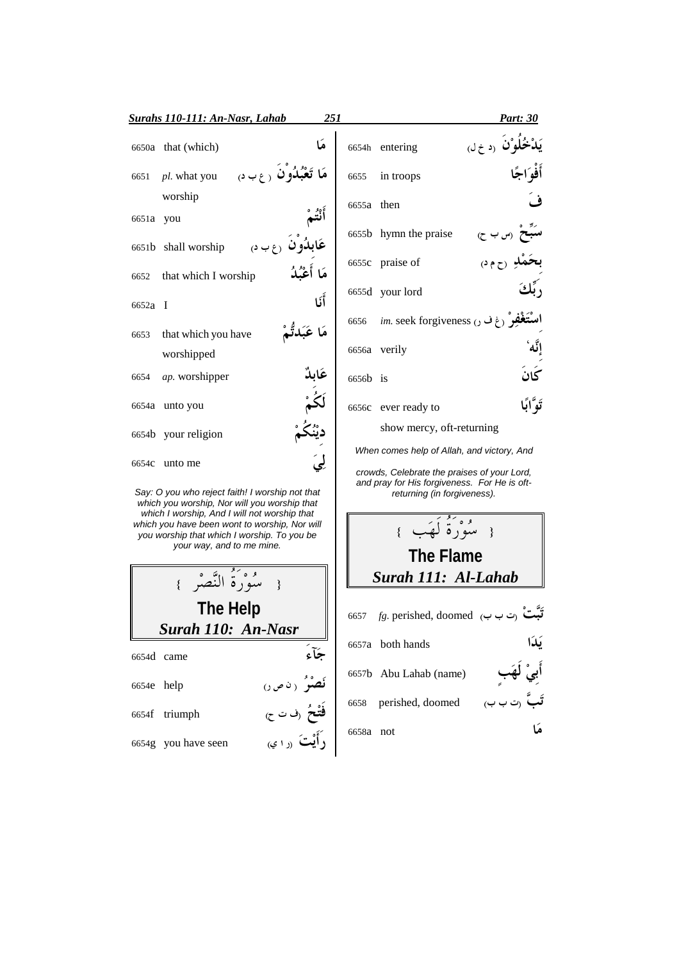|                          | <b>Surahs 110-111: An-Nasr, Lahab</b>                                                                                                        | 251                                                                                  |            |                                                                                                                                                                          | <b>Part: 30</b>     |
|--------------------------|----------------------------------------------------------------------------------------------------------------------------------------------|--------------------------------------------------------------------------------------|------------|--------------------------------------------------------------------------------------------------------------------------------------------------------------------------|---------------------|
|                          | 6650a that (which)                                                                                                                           | هَا                                                                                  |            | 6654h entering                                                                                                                                                           | و <b>ْن</b> رد خ لې |
| 6651                     | <b>مَا تَعْبُدُون</b> رع۔ن<br>pl. what you                                                                                                   |                                                                                      | 6655       | in troops                                                                                                                                                                |                     |
| 6651a you                | worship                                                                                                                                      |                                                                                      | 6655a then |                                                                                                                                                                          |                     |
|                          | <b>عَابِدُون</b> رع ب د ِ<br>6651b shall worship                                                                                             |                                                                                      |            | 6655b hymn the praise                                                                                                                                                    | (س ب ح)             |
| 6652                     | that which I worship                                                                                                                         | مَا أَعْمُدُ                                                                         |            | 6655c praise of                                                                                                                                                          |                     |
| 6652a I                  |                                                                                                                                              | أَنَا                                                                                |            | 6655d your lord                                                                                                                                                          |                     |
| 6653                     | that which you have                                                                                                                          | مَا عَبَدتَّمْ                                                                       | 6656       | <i>im.</i> seek forgiveness (غ ف ر)                                                                                                                                      |                     |
|                          | worshipped                                                                                                                                   |                                                                                      |            | 6656a verily                                                                                                                                                             |                     |
| 6654                     | ap. worshipper                                                                                                                               |                                                                                      | 6656b is   |                                                                                                                                                                          | كَانَ               |
|                          | 6654a unto you                                                                                                                               |                                                                                      |            | 6656c ever ready to                                                                                                                                                      | تَوَّابًا           |
|                          | 6654b your religion                                                                                                                          |                                                                                      |            | show mercy, oft-returning                                                                                                                                                |                     |
|                          | 6654c unto me<br>Say: O you who reject faith! I worship not that<br>which you worship, Nor will you worship that                             |                                                                                      |            | When comes help of Allah, and victory, And<br>crowds, Celebrate the praises of your Lord,<br>and pray for His forgiveness. For He is oft-<br>returning (in forgiveness). |                     |
|                          | which I worship, And I will not worship that<br>which you have been wont to worship, Nor will<br>you worship that which I worship. To you be |                                                                                      |            | وَصَفَّهَ لَهَبٍ }                                                                                                                                                       |                     |
|                          | your way, and to me mine.                                                                                                                    |                                                                                      |            | <b>The Flame</b>                                                                                                                                                         |                     |
|                          | وُو أَ النَّصْرُ }                                                                                                                           |                                                                                      |            | Surah 111: Al-Lahab                                                                                                                                                      |                     |
|                          | The Help                                                                                                                                     |                                                                                      | 6657       | fg. perished, doomed (ت ب ب)                                                                                                                                             |                     |
|                          | Surah 110: An-Nasr                                                                                                                           |                                                                                      |            | 6657a both hands                                                                                                                                                         | يَدَا               |
| 6654d came<br>6654e help |                                                                                                                                              | جَأء                                                                                 |            | 6657b Abu Lahab (name)                                                                                                                                                   |                     |
|                          | 6654f triumph                                                                                                                                |                                                                                      | 6658       | perished, doomed                                                                                                                                                         |                     |
|                          | 6654g you have seen                                                                                                                          | بى<br><b>ئص</b> ئو ( ن ص )<br><b>فَتْحُ</b> (ف ت ح)<br>ك <sup></sup> اَّيْتَ (ر ا ي) | 6658a not  |                                                                                                                                                                          |                     |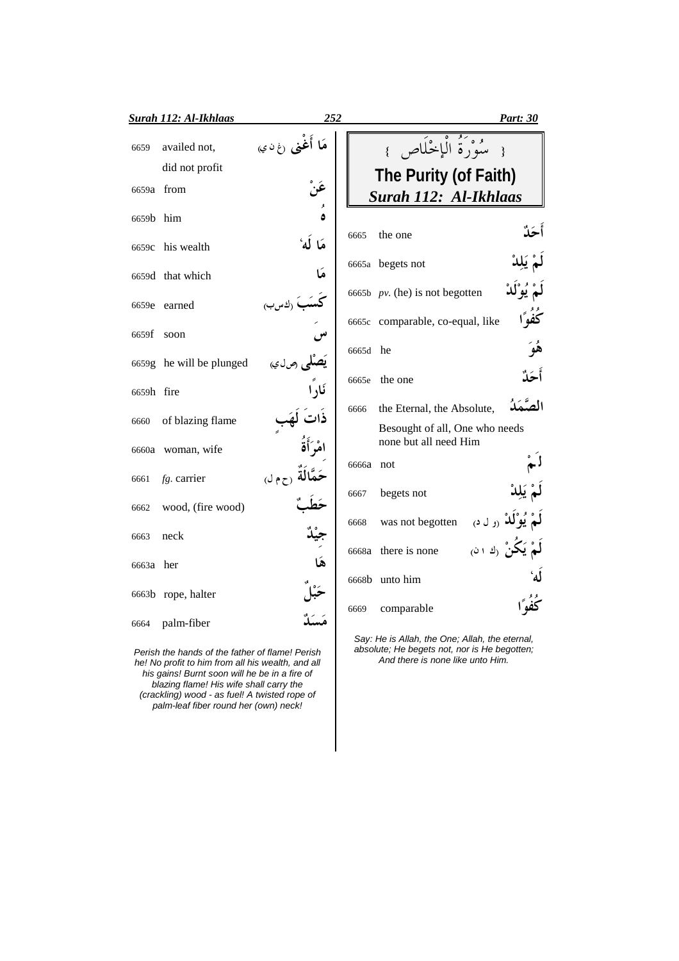|            | <b>Surah 112: Al-Ikhlaas</b>                    | 252                       | <u>Part: 30</u>                                                                                |
|------------|-------------------------------------------------|---------------------------|------------------------------------------------------------------------------------------------|
| 6659       | availed not,                                    | <b>مَا أُغنى</b> رغαني    | مُؤْرَةُ الْإِخْلَاصِ }                                                                        |
|            | did not profit                                  |                           | The Purity (of Faith)                                                                          |
|            | 6659a from                                      |                           | Surah 112: Al-Ikhlaas                                                                          |
| 6659b him  |                                                 |                           |                                                                                                |
| 6659c      | his wealth                                      | 6665<br>مَا لَه           | the one                                                                                        |
|            | 6659d that which                                | ھا                        | 6665a begets not                                                                               |
|            | 6659e earned                                    | ) (ك س ب)                 | 6665b $pv$ . (he) is not begotten                                                              |
| 6659f      | soon                                            |                           | كُفُوًا<br>6665c comparable, co-equal, like                                                    |
|            |                                                 | 6665d                     | he                                                                                             |
|            | 6659g he will be plunged                        | يُصَلِّمِي رص لي<br>6665e | أحَلْ<br>the one                                                                               |
| 6659h fire |                                                 |                           |                                                                                                |
| 6660       | of blazing flame                                | 6666                      | الصَّمَدُ<br>the Eternal, the Absolute,                                                        |
| 6660a      | woman, wife                                     |                           | Besought of all, One who needs<br>none but all need Him                                        |
|            |                                                 | 6666a not                 |                                                                                                |
| 6661       | $fg.$ carrier                                   | 4 (ح م ل)<br>6667         | begets not                                                                                     |
| 6662       | wood, (fire wood)                               |                           | <b>يُوْلَٰڏ</b> (ول د <sub>)</sub>                                                             |
| 6663       | neck                                            | 6668                      | was not begotten                                                                               |
| 6663a her  |                                                 |                           | <b>یَکُنْ</b> رك دن <sub>)</sub><br>6668a there is none                                        |
|            |                                                 |                           | 6668b unto him                                                                                 |
|            | 6663b rope, halter                              | 6669                      | comparable                                                                                     |
| 6664       | palm-fiber                                      |                           |                                                                                                |
|            | Porish the hands of the father of flamel Porish |                           | Say: He is Allah, the One; Allah, the eternal,<br>absolute: He begets not, nor is He begotten: |

Perish the hands of the father of flame! Perish<br>he! No profit to him from all his wealth, and all<br>his gains! Burnt soon will he be in a fire of<br>blazing flame! His wife shall carry the<br>(crackling) wood - as fuel! A twisted

n, And there is none like unto Him.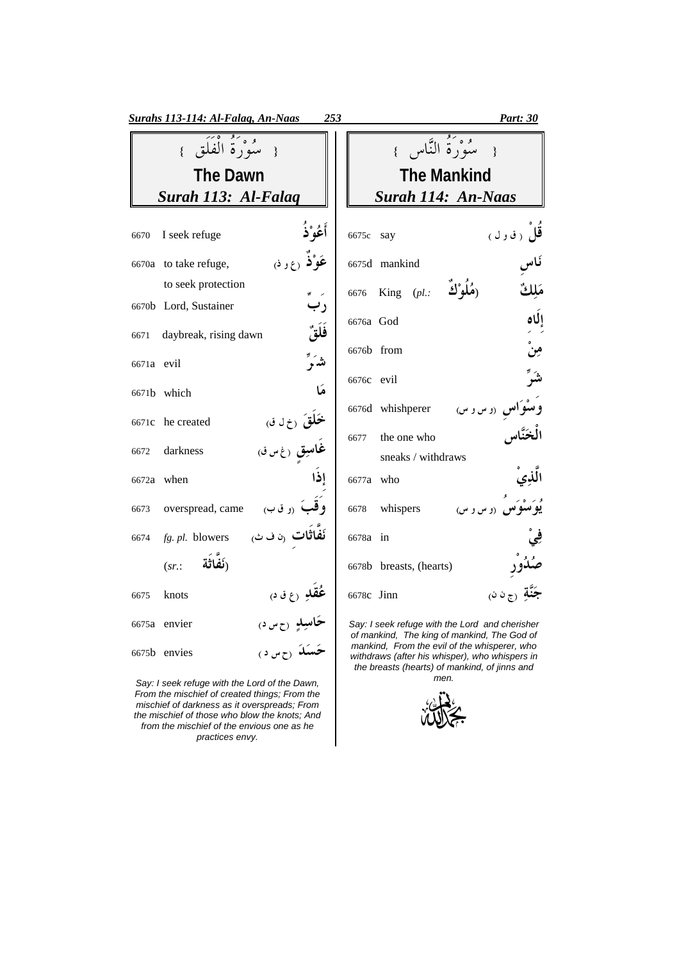| <b>Surahs 113-114: Al-Falaq, An-Naas</b><br>253              | Part: 30                                                                                       |
|--------------------------------------------------------------|------------------------------------------------------------------------------------------------|
| { سُوْرَةُ الْفَلَقِ }                                       | مَعْ دَمَّةً النَّاسِ }<br>$\rightarrow$                                                       |
| <b>The Dawn</b>                                              | <b>The Mankind</b>                                                                             |
| Surah 113: Al-Falag                                          | Surah 114: An-Naas                                                                             |
| أَعُوْ ٰذُ<br>I seek refuge<br>6670                          | قل رقول)<br>6675c<br>say                                                                       |
| <b>عَوْ'ذَ</b> رع و د <sub>َ)</sub><br>6670a to take refuge, | 6675d mankind                                                                                  |
| to seek protection                                           | King $(\rho L):$ (هُلُوْكَ $L$ .)<br>مَلْكُ<br>6676                                            |
| رب<br>6670b Lord, Sustainer                                  |                                                                                                |
| فَلَقٌ<br>daybreak, rising dawn<br>6671                      | إلكاه<br>6676a God                                                                             |
| شرً<br>6671a evil                                            | مِنْ<br>6676b from                                                                             |
| هَا                                                          | شَرٌ<br>6676c evil                                                                             |
| 6671b which                                                  | <b>واس</b> (و س و س)<br>6676d whishperer                                                       |
| <b>خَلقَ</b> رخ ل ق<br>6671c he created                      | the one who<br>6677                                                                            |
| <b>غاسِقِ</b> رغ س ق <sub>)</sub><br>darkness<br>6672        | sneaks / withdraws                                                                             |
| إذا<br>6672a when                                            | الذي<br>6677a who                                                                              |
| وقبَ رو ق ب<br>overspread, came<br>6673                      | و .<br><b>پُوِ سُوِّسِ</b> (و س و س)<br>whispers<br>6678                                       |
| <b>نَفاثات</b> رن ف ڻ<br>fg. pl. blowers<br>6674             | 6678a in                                                                                       |
| (نَفَاتُة<br>$(sr)$ :                                        | 6678b breasts, (hearts)                                                                        |
| <b>عُقلِ</b> رع ق د <sub>)</sub><br>knots<br>6675            | جَنَّة رج ن ن<br>6678c Jinn                                                                    |
| <b>حاسيد</b> رح س د <sub>)</sub><br>6675a envier             | Say: I seek refuge with the Lord and cherisher<br>of mankind, The king of mankind, The God of  |
| ځسکه رځ س د )<br>6675b envies                                | mankind, From the evil of the whisperer, who<br>withdraws (after his whisper), who whispers in |

Say: I seek refuge with the Lord of the Dawn,<br>From the mischief of created things; From the<br>mischief of darkness as it overspreads; From the mischief of those who blow the knots; And<br>from the mischief of the envious one as he practices envy.

withdraws (after his whisper), who whispers in<br>the breasts (hearts) of mankind, of jinns and men.

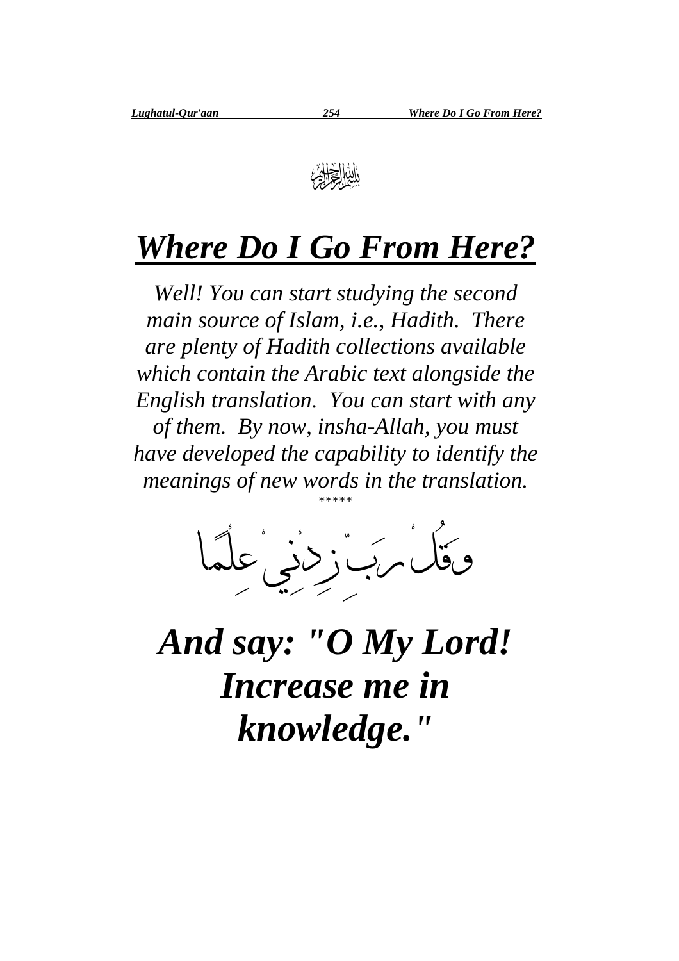

## *Where Do I Go From Here?*

*Well! You can start studying the second main source of Islam, i.e., Hadith. There are plenty of Hadith collections available which contain the Arabic text alongside the English translation. You can start with any of them. By now, insha-Allah, you must have developed the capability to identify the meanings of new words in the translation.* \*\*\*\*\*



*And say: "O My Lord! Increase me in knowledge."*